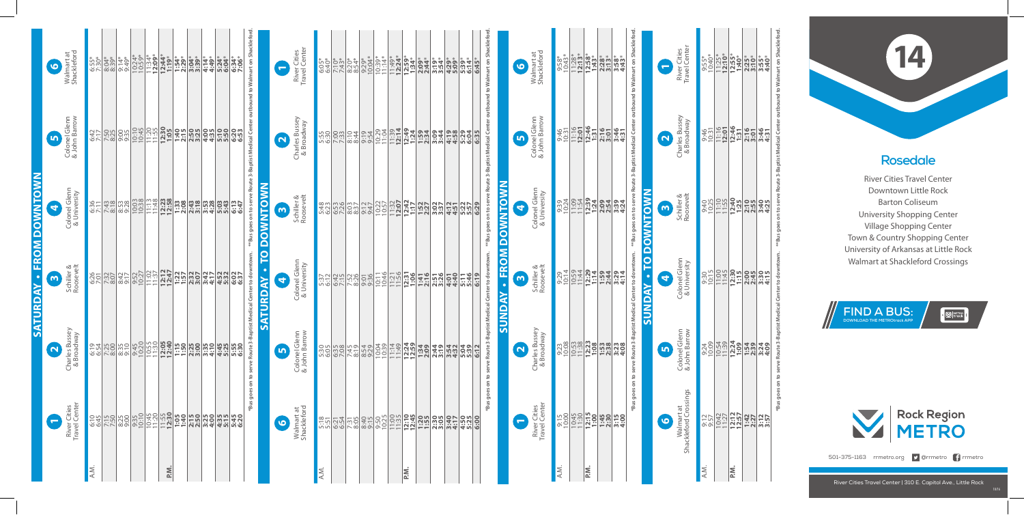## **Rosedale** River Cities Travel Center Downtown Little Rock Barton Coliseum University Shopping Center Village Shopping Center Town & Country Shopping Center University of Arkansas at Little Rock Walmart at Shackleford Crossings

**14**



**FIND A BUS: DOWNLOAD THE METROtrack APP**



**EX** METRO

501-375-1163 rrmetro.org **9** @rrmetro <sup>1</sup> rrmetro

| ΚŅ  |                                                                      |                                                        |                                                                                                                                                  |                                                                    |                                                                                                                                                    |
|-----|----------------------------------------------------------------------|--------------------------------------------------------|--------------------------------------------------------------------------------------------------------------------------------------------------|--------------------------------------------------------------------|----------------------------------------------------------------------------------------------------------------------------------------------------|
|     |                                                                      |                                                        |                                                                                                                                                  |                                                                    |                                                                                                                                                    |
|     | 9:57<br>9:57 2:57 2:57 2:57<br>9:57 2:57 2:57 2:57<br>9:57 2:57 2:57 | $\frac{0.30}{1.130}$<br>$\frac{0.15}{1.130}$           | 9:30 11:3 <mark>9:31 1:41</mark><br>9:31 1:41 1:42 1:43<br>9:31 1:42 1:43 1:44                                                                   | 835<br><u>1950 345 675</u><br>889 12: <mark>91</mark><br>889 12:00 | <b><i><i>s</i></i></b> 55*<br><u>SSC*</u><br>SSC* <mark>55*56*6*6*</mark><br>SC <u>P</u><br>SC <mark>P+57*6*6*6*</mark><br>SCP <mark>+57*6*</mark> |
|     |                                                                      |                                                        |                                                                                                                                                  |                                                                    |                                                                                                                                                    |
| ΡÑ. |                                                                      | $12:30$<br>$1:15$                                      |                                                                                                                                                  |                                                                    |                                                                                                                                                    |
|     |                                                                      |                                                        |                                                                                                                                                  |                                                                    |                                                                                                                                                    |
|     |                                                                      |                                                        |                                                                                                                                                  |                                                                    |                                                                                                                                                    |
|     |                                                                      | $\frac{23}{220}$<br>$\frac{25}{25}$<br>$\frac{25}{25}$ |                                                                                                                                                  |                                                                    |                                                                                                                                                    |
|     |                                                                      |                                                        |                                                                                                                                                  | 3:46<br>4:31                                                       |                                                                                                                                                    |
|     |                                                                      |                                                        |                                                                                                                                                  |                                                                    |                                                                                                                                                    |
|     | Bus goes on t                                                        |                                                        | to serve Route 3-Baptist Medical Center to downtown.   **Bus goes on to serve Route 3-Baptist Medical Center outbound to Walmart on Shackleford. |                                                                    |                                                                                                                                                    |

|      |                                     | <b>SATU</b>                                                                                                                                                                                                                           | FROM<br>$\bullet$<br>DAY                                                                                                                                                                                                                                                                                            | <b>DOWNTOW</b>                                                                                                                                                                                                                                                                                                |                                                                                          |                                                                                                                                                                                                                                                                                                                                                                                                                                           |
|------|-------------------------------------|---------------------------------------------------------------------------------------------------------------------------------------------------------------------------------------------------------------------------------------|---------------------------------------------------------------------------------------------------------------------------------------------------------------------------------------------------------------------------------------------------------------------------------------------------------------------|---------------------------------------------------------------------------------------------------------------------------------------------------------------------------------------------------------------------------------------------------------------------------------------------------------------|------------------------------------------------------------------------------------------|-------------------------------------------------------------------------------------------------------------------------------------------------------------------------------------------------------------------------------------------------------------------------------------------------------------------------------------------------------------------------------------------------------------------------------------------|
|      | $\mathbf{r}$                        | $\sim$                                                                                                                                                                                                                                | $\mathbf{\omega}$                                                                                                                                                                                                                                                                                                   | 4                                                                                                                                                                                                                                                                                                             | m                                                                                        | O                                                                                                                                                                                                                                                                                                                                                                                                                                         |
|      | River Cities<br>Travel Center       | Charles Bussey<br>& Broadway                                                                                                                                                                                                          | Schiller &<br>Roosevelt                                                                                                                                                                                                                                                                                             | Colonel Glenn<br>& University                                                                                                                                                                                                                                                                                 | Colonel Glenn<br>& John Barrow                                                           | Walmart at<br>Shackleford                                                                                                                                                                                                                                                                                                                                                                                                                 |
| A.M. |                                     |                                                                                                                                                                                                                                       |                                                                                                                                                                                                                                                                                                                     |                                                                                                                                                                                                                                                                                                               |                                                                                          |                                                                                                                                                                                                                                                                                                                                                                                                                                           |
|      |                                     |                                                                                                                                                                                                                                       |                                                                                                                                                                                                                                                                                                                     |                                                                                                                                                                                                                                                                                                               |                                                                                          |                                                                                                                                                                                                                                                                                                                                                                                                                                           |
|      |                                     |                                                                                                                                                                                                                                       |                                                                                                                                                                                                                                                                                                                     |                                                                                                                                                                                                                                                                                                               |                                                                                          |                                                                                                                                                                                                                                                                                                                                                                                                                                           |
|      |                                     | <u>်စီအို မြစ္လိုက္တံ မြစ္လိုက္တံ မြစ္လို မြစ္လိုက္တံ မြစ္လိုက္တံ မြစ္လိုက္တံ မြစ္လိုက္တံ မြစ္လိုက္ မြစ္လိုက္တံ</u><br>အေျပာေရး ေက်ာ္လိုက္တံ မြစ္လိုက္တံ မြစ္လိုက္တံ မြစ္လိုက္တံ မြစ္လိုက္တံ မြစ္လိုက္တံ မြစ္လိုက္တံ မြစ္လိုက္တံ မြစ္ |                                                                                                                                                                                                                                                                                                                     | $\frac{87}{671}$                                                                                                                                                                                                                                                                                              |                                                                                          | $\begin{array}{l} \left( \begin{array}{c} 0.8 \\ 0.01 \\ 0.01 \end{array} \right) \left( \begin{array}{c} 0.8 \\ 0.01 \\ 0.01 \end{array} \right) \left( \begin{array}{c} 0.8 \\ 0.01 \\ 0.01 \end{array} \right) \left( \begin{array}{c} 0.8 \\ 0.01 \\ 0.01 \end{array} \right) \left( \begin{array}{c} 0.8 \\ 0.01 \\ 0.01 \end{array} \right) \left( \begin{array}{c} 0.8 \\ 0.01 \\ 0.01 \end{array} \right) \left( \begin{array}{c$ |
|      |                                     |                                                                                                                                                                                                                                       |                                                                                                                                                                                                                                                                                                                     |                                                                                                                                                                                                                                                                                                               |                                                                                          |                                                                                                                                                                                                                                                                                                                                                                                                                                           |
|      |                                     |                                                                                                                                                                                                                                       |                                                                                                                                                                                                                                                                                                                     |                                                                                                                                                                                                                                                                                                               |                                                                                          |                                                                                                                                                                                                                                                                                                                                                                                                                                           |
| P.M  |                                     |                                                                                                                                                                                                                                       |                                                                                                                                                                                                                                                                                                                     | $\overline{\phantom{a}}$                                                                                                                                                                                                                                                                                      |                                                                                          |                                                                                                                                                                                                                                                                                                                                                                                                                                           |
|      |                                     |                                                                                                                                                                                                                                       |                                                                                                                                                                                                                                                                                                                     |                                                                                                                                                                                                                                                                                                               |                                                                                          |                                                                                                                                                                                                                                                                                                                                                                                                                                           |
|      |                                     |                                                                                                                                                                                                                                       |                                                                                                                                                                                                                                                                                                                     |                                                                                                                                                                                                                                                                                                               |                                                                                          |                                                                                                                                                                                                                                                                                                                                                                                                                                           |
|      |                                     |                                                                                                                                                                                                                                       |                                                                                                                                                                                                                                                                                                                     |                                                                                                                                                                                                                                                                                                               |                                                                                          |                                                                                                                                                                                                                                                                                                                                                                                                                                           |
|      |                                     |                                                                                                                                                                                                                                       | $\frac{1}{2}$ $\frac{1}{2}$ $\frac{1}{2}$ $\frac{1}{2}$ $\frac{1}{2}$ $\frac{1}{2}$ $\frac{1}{2}$ $\frac{1}{2}$ $\frac{1}{2}$ $\frac{1}{2}$ $\frac{1}{2}$ $\frac{1}{2}$ $\frac{1}{2}$ $\frac{1}{2}$ $\frac{1}{2}$ $\frac{1}{2}$ $\frac{1}{2}$ $\frac{1}{2}$ $\frac{1}{2}$ $\frac{1}{2}$ $\frac{1}{2}$ $\frac{1}{2}$ | $\begin{array}{l} 1.36 \\ 1.37 \\ 1.38 \\ 1.39 \\ 1.39 \\ 1.39 \\ 1.39 \\ 1.39 \\ 1.39 \\ 1.39 \\ 1.39 \\ 1.39 \\ 1.39 \\ 1.39 \\ 1.39 \\ 1.39 \\ 1.39 \\ 1.39 \\ 1.39 \\ 1.39 \\ 1.39 \\ 1.39 \\ 1.39 \\ 1.39 \\ 1.39 \\ 1.39 \\ 1.39 \\ 1.39 \\ 1.39 \\ 1.39 \\ 1.39 \\ 1.39 \\ 1.39 \\ 1.39 \\ 1.39 \\ 1.$ |                                                                                          |                                                                                                                                                                                                                                                                                                                                                                                                                                           |
|      |                                     |                                                                                                                                                                                                                                       |                                                                                                                                                                                                                                                                                                                     |                                                                                                                                                                                                                                                                                                               |                                                                                          |                                                                                                                                                                                                                                                                                                                                                                                                                                           |
|      | *Bus goes on                        | <b>Baptist Medical</b><br>serve Route 3-                                                                                                                                                                                              | Center to downtown                                                                                                                                                                                                                                                                                                  | *Bus goes on to serve Route 3-Baptist Medical Center                                                                                                                                                                                                                                                          |                                                                                          | outbound to Walmart on Shacklefor                                                                                                                                                                                                                                                                                                                                                                                                         |
|      |                                     |                                                                                                                                                                                                                                       | <u>P</u><br>$\bullet$<br>SATURDAY                                                                                                                                                                                                                                                                                   | <b>DOWNTOWN</b>                                                                                                                                                                                                                                                                                               |                                                                                          |                                                                                                                                                                                                                                                                                                                                                                                                                                           |
|      | $\bullet$                           | <b>LO</b>                                                                                                                                                                                                                             | 4                                                                                                                                                                                                                                                                                                                   | m                                                                                                                                                                                                                                                                                                             | $\mathbf{\Omega}$                                                                        | $\overline{\phantom{0}}$                                                                                                                                                                                                                                                                                                                                                                                                                  |
|      | Walmart at<br>Shackleford           | Colonel Glenn<br>& John Barrow                                                                                                                                                                                                        | Colonel Glenn<br>& University                                                                                                                                                                                                                                                                                       | Schiller &<br>Roosevelt                                                                                                                                                                                                                                                                                       | Charles Bussey<br>& Broadway                                                             | River Cities<br>Travel Center                                                                                                                                                                                                                                                                                                                                                                                                             |
| A.M. |                                     |                                                                                                                                                                                                                                       |                                                                                                                                                                                                                                                                                                                     |                                                                                                                                                                                                                                                                                                               |                                                                                          |                                                                                                                                                                                                                                                                                                                                                                                                                                           |
|      |                                     |                                                                                                                                                                                                                                       |                                                                                                                                                                                                                                                                                                                     |                                                                                                                                                                                                                                                                                                               |                                                                                          |                                                                                                                                                                                                                                                                                                                                                                                                                                           |
|      |                                     |                                                                                                                                                                                                                                       |                                                                                                                                                                                                                                                                                                                     |                                                                                                                                                                                                                                                                                                               |                                                                                          |                                                                                                                                                                                                                                                                                                                                                                                                                                           |
|      |                                     |                                                                                                                                                                                                                                       |                                                                                                                                                                                                                                                                                                                     |                                                                                                                                                                                                                                                                                                               |                                                                                          |                                                                                                                                                                                                                                                                                                                                                                                                                                           |
|      |                                     |                                                                                                                                                                                                                                       |                                                                                                                                                                                                                                                                                                                     |                                                                                                                                                                                                                                                                                                               |                                                                                          |                                                                                                                                                                                                                                                                                                                                                                                                                                           |
|      |                                     |                                                                                                                                                                                                                                       |                                                                                                                                                                                                                                                                                                                     |                                                                                                                                                                                                                                                                                                               |                                                                                          |                                                                                                                                                                                                                                                                                                                                                                                                                                           |
|      |                                     |                                                                                                                                                                                                                                       |                                                                                                                                                                                                                                                                                                                     |                                                                                                                                                                                                                                                                                                               |                                                                                          |                                                                                                                                                                                                                                                                                                                                                                                                                                           |
| P.M. |                                     |                                                                                                                                                                                                                                       |                                                                                                                                                                                                                                                                                                                     |                                                                                                                                                                                                                                                                                                               |                                                                                          |                                                                                                                                                                                                                                                                                                                                                                                                                                           |
|      |                                     |                                                                                                                                                                                                                                       |                                                                                                                                                                                                                                                                                                                     |                                                                                                                                                                                                                                                                                                               |                                                                                          |                                                                                                                                                                                                                                                                                                                                                                                                                                           |
|      |                                     |                                                                                                                                                                                                                                       |                                                                                                                                                                                                                                                                                                                     |                                                                                                                                                                                                                                                                                                               |                                                                                          |                                                                                                                                                                                                                                                                                                                                                                                                                                           |
|      |                                     |                                                                                                                                                                                                                                       |                                                                                                                                                                                                                                                                                                                     |                                                                                                                                                                                                                                                                                                               |                                                                                          |                                                                                                                                                                                                                                                                                                                                                                                                                                           |
|      |                                     |                                                                                                                                                                                                                                       | <u>i vojec isological isolati da se ta mm.</u>                                                                                                                                                                                                                                                                      | <u>ြန်မျိုးမိုင်းမိုင်းမိုင်းမိုင်းမြို့များမှု မြို့များမှု များမှု များမှု</u><br>မြို့သူများမှု များမှု များမှု များမှု များမှု များမှု များမှု များမှု များမှု                                                                                                                                            | <u>ng ky sa sa sa bahar ta dalam dalam da</u>                                            |                                                                                                                                                                                                                                                                                                                                                                                                                                           |
|      |                                     |                                                                                                                                                                                                                                       | 6:19                                                                                                                                                                                                                                                                                                                |                                                                                                                                                                                                                                                                                                               | 6:3                                                                                      |                                                                                                                                                                                                                                                                                                                                                                                                                                           |
|      | *Bus goes on                        | to serve Route 3-Baptist Medical Center to downtown.<br>$\overline{\mathsf{S}}$                                                                                                                                                       | FROM<br>$\bullet$<br>⋧<br>$\frac{1}{2}$                                                                                                                                                                                                                                                                             | <b>NOTNATO</b><br>Ŏ                                                                                                                                                                                                                                                                                           | **Bus goes on to serve Route 3-Baptist Medical Center outbound to Walmart on Shackleford |                                                                                                                                                                                                                                                                                                                                                                                                                                           |
|      | $\blacktriangledown$                | $\mathbf{\Omega}$                                                                                                                                                                                                                     | $\boldsymbol{\omega}$                                                                                                                                                                                                                                                                                               | 4                                                                                                                                                                                                                                                                                                             | <u>ທ</u>                                                                                 | $\boldsymbol{\omega}$                                                                                                                                                                                                                                                                                                                                                                                                                     |
|      |                                     |                                                                                                                                                                                                                                       |                                                                                                                                                                                                                                                                                                                     |                                                                                                                                                                                                                                                                                                               |                                                                                          |                                                                                                                                                                                                                                                                                                                                                                                                                                           |
|      | River Cities<br>Travel Center       | Charles Bussey<br>& Broadway                                                                                                                                                                                                          | Schiller &<br>Roosevelt                                                                                                                                                                                                                                                                                             | Colonel Glenn<br>& University                                                                                                                                                                                                                                                                                 | Colonel Glenn<br>& John Barrow                                                           | Walmart at<br>Shackleford                                                                                                                                                                                                                                                                                                                                                                                                                 |
| A.M. |                                     |                                                                                                                                                                                                                                       |                                                                                                                                                                                                                                                                                                                     |                                                                                                                                                                                                                                                                                                               |                                                                                          |                                                                                                                                                                                                                                                                                                                                                                                                                                           |
|      |                                     |                                                                                                                                                                                                                                       |                                                                                                                                                                                                                                                                                                                     |                                                                                                                                                                                                                                                                                                               |                                                                                          |                                                                                                                                                                                                                                                                                                                                                                                                                                           |
| P.M. |                                     |                                                                                                                                                                                                                                       | $\begin{array}{r} 0.011 \\ 0.011 \\ 0.011 \\ 0.011 \\ 0.011 \\ 0.011 \\ 0.011 \\ 0.011 \\ 0.011 \\ 0.011 \\ 0.011 \\ 0.011 \\ 0.011 \\ 0.011 \\ 0.011 \\ 0.011 \\ 0.011 \\ 0.011 \\ 0.011 \\ 0.011 \\ 0.011 \\ 0.011 \\ 0.011 \\ 0.011 \\ 0.011 \\ 0.011 \\ 0.011 \\ 0.011 \\ 0.011 \\ 0.011 \\ 0.$                 | $\begin{array}{r} 39.74 \\ 30.24 \\ 11.23 \\ 12.39 \\ 13.4 \\ 13.4 \\ 13.4 \\ 13.4 \\ 13.4 \\ 13.4 \\ 13.4 \\ 13.4 \\ 13.4 \\ 13.4 \\ 13.4 \\ 14.4 \\ 15.4 \\ 16.4 \\ 17.4 \\ 18.4 \\ 19.4 \\ 11.4 \\ 13.4 \\ 14.4 \\ 15.4 \\ 16.4 \\ 17.4 \\ 18.4 \\ 19.4 \\ 19.4 \\ 19.4 \\ 19.4 \\ 19.4 \\ 19.4 \\ 19.4$   | $\frac{1}{100}$                                                                          | $\begin{array}{l} 558* \\ 554* \\ 1043* \\ 1128* \\ 1212* \\ 133* \\ 133* \\ 133* \\ 133* \\ 133* \\ 133* \\ 133* \\ 133* \\ 133* \\ 133* \\ 133* \\ 133* \\ 133* \\ 133* \\ 133* \\ 133* \\ 133* \\ 133* \\ 133* \\ 133* \\ 133* \\ 133* \\ 133* \\ 133* \\ 133* \\ 133* \\ 133* \\ 133* \\ 133* \\ 133* \\$                                                                                                                             |
|      |                                     |                                                                                                                                                                                                                                       |                                                                                                                                                                                                                                                                                                                     |                                                                                                                                                                                                                                                                                                               |                                                                                          |                                                                                                                                                                                                                                                                                                                                                                                                                                           |
|      |                                     |                                                                                                                                                                                                                                       |                                                                                                                                                                                                                                                                                                                     |                                                                                                                                                                                                                                                                                                               |                                                                                          |                                                                                                                                                                                                                                                                                                                                                                                                                                           |
|      | *Bus goes on                        | to serve Route 3-Baptist Medical Center to downtown                                                                                                                                                                                   |                                                                                                                                                                                                                                                                                                                     | **Bus                                                                                                                                                                                                                                                                                                         | goes on to serve Route 3-Baptist Medical Center outbound to Walmart on Shacklefor        |                                                                                                                                                                                                                                                                                                                                                                                                                                           |
|      |                                     | $\overline{\mathsf{S}}$                                                                                                                                                                                                               | - 0<br>ਟੇ<br>ਕ<br>$\Box$<br>Z                                                                                                                                                                                                                                                                                       | <b>WNTOWN</b>                                                                                                                                                                                                                                                                                                 |                                                                                          |                                                                                                                                                                                                                                                                                                                                                                                                                                           |
|      | $\bullet$                           | <b>In</b>                                                                                                                                                                                                                             | 4                                                                                                                                                                                                                                                                                                                   | m                                                                                                                                                                                                                                                                                                             | $\sim$                                                                                   | $\overline{\phantom{0}}$                                                                                                                                                                                                                                                                                                                                                                                                                  |
|      | Walmart at<br>Shackleford Crossings | Colonel Glenn<br>& John Barrow                                                                                                                                                                                                        | Colonel Glenn<br>& University                                                                                                                                                                                                                                                                                       | Schiller &<br>Roosevelt                                                                                                                                                                                                                                                                                       | Charles Bussey<br>& Broadway                                                             | River Cities<br>Travel Center                                                                                                                                                                                                                                                                                                                                                                                                             |
|      |                                     |                                                                                                                                                                                                                                       |                                                                                                                                                                                                                                                                                                                     |                                                                                                                                                                                                                                                                                                               |                                                                                          |                                                                                                                                                                                                                                                                                                                                                                                                                                           |